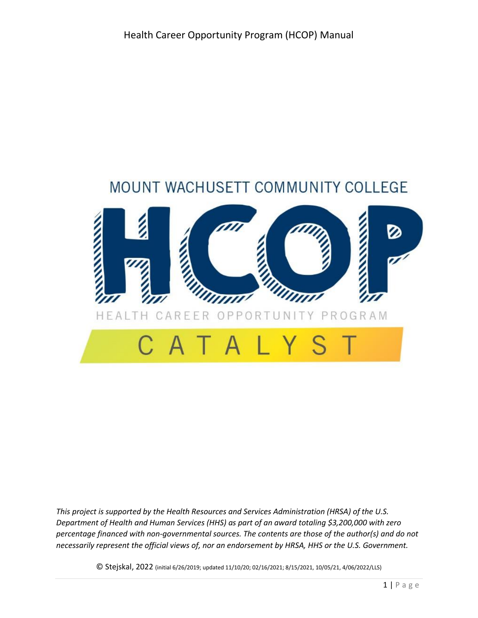# MOUNT WACHUSETT COMMUNITY COLLEGE



*This project is supported by the Health Resources and Services Administration (HRSA) of the U.S. Department of Health and Human Services (HHS) as part of an award totaling \$3,200,000 with zero percentage financed with non-governmental sources. The contents are those of the author(s) and do not necessarily represent the official views of, nor an endorsement by HRSA, HHS or the U.S. Government.*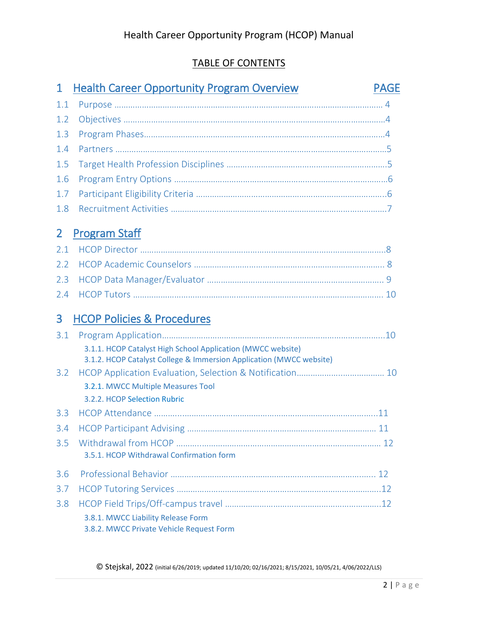# TABLE OF CONTENTS

| $\mathbf 1$ | <b>Health Career Opportunity Program Overview</b><br><b>PAGE</b>                                                                   |
|-------------|------------------------------------------------------------------------------------------------------------------------------------|
| 1.1         |                                                                                                                                    |
| 1.2         |                                                                                                                                    |
| 1.3         |                                                                                                                                    |
| 1.4         |                                                                                                                                    |
| 1.5         |                                                                                                                                    |
| 1.6         |                                                                                                                                    |
| 1.7         |                                                                                                                                    |
| 1.8         |                                                                                                                                    |
| 2           | <b>Program Staff</b>                                                                                                               |
| 2.1         |                                                                                                                                    |
| 2.2         |                                                                                                                                    |
| 2.3         |                                                                                                                                    |
| 2.4         |                                                                                                                                    |
| 3           | <b>HCOP Policies &amp; Procedures</b>                                                                                              |
| 3.1         |                                                                                                                                    |
|             | 3.1.1. HCOP Catalyst High School Application (MWCC website)<br>3.1.2. HCOP Catalyst College & Immersion Application (MWCC website) |
| 3.2         |                                                                                                                                    |
|             | 3.2.1. MWCC Multiple Measures Tool                                                                                                 |
|             | 3.2.2. HCOP Selection Rubric                                                                                                       |
| 3.3         |                                                                                                                                    |
| 3.4         | -11                                                                                                                                |
| 3.5         | 3.5.1. HCOP Withdrawal Confirmation form                                                                                           |
| 3.6         |                                                                                                                                    |
| 3.7         |                                                                                                                                    |
| 3.8         |                                                                                                                                    |
|             | 3.8.1. MWCC Liability Release Form<br>3.8.2. MWCC Private Vehicle Request Form                                                     |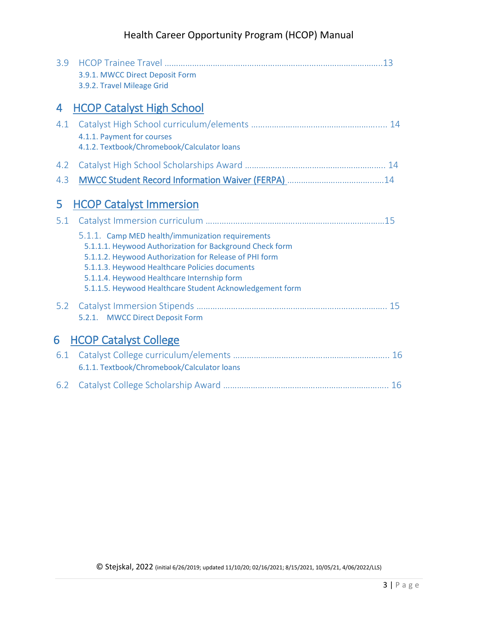| 3.9 | 3.9.1. MWCC Direct Deposit Form<br>3.9.2. Travel Mileage Grid                                                                                                                                                                                                                                                                       |
|-----|-------------------------------------------------------------------------------------------------------------------------------------------------------------------------------------------------------------------------------------------------------------------------------------------------------------------------------------|
| 4   | <b>HCOP Catalyst High School</b>                                                                                                                                                                                                                                                                                                    |
| 4.1 | 4.1.1. Payment for courses<br>4.1.2. Textbook/Chromebook/Calculator loans                                                                                                                                                                                                                                                           |
| 4.2 |                                                                                                                                                                                                                                                                                                                                     |
| 4.3 |                                                                                                                                                                                                                                                                                                                                     |
| 5   | <b>HCOP Catalyst Immersion</b>                                                                                                                                                                                                                                                                                                      |
| 5.1 |                                                                                                                                                                                                                                                                                                                                     |
|     | 5.1.1. Camp MED health/immunization requirements<br>5.1.1.1. Heywood Authorization for Background Check form<br>5.1.1.2. Heywood Authorization for Release of PHI form<br>5.1.1.3. Heywood Healthcare Policies documents<br>5.1.1.4. Heywood Healthcare Internship form<br>5.1.1.5. Heywood Healthcare Student Acknowledgement form |
|     | 5.2.1. MWCC Direct Deposit Form                                                                                                                                                                                                                                                                                                     |
| 6   | <b>HCOP Catalyst College</b>                                                                                                                                                                                                                                                                                                        |
| 6.1 | 6.1.1. Textbook/Chromebook/Calculator loans                                                                                                                                                                                                                                                                                         |
| 6.2 |                                                                                                                                                                                                                                                                                                                                     |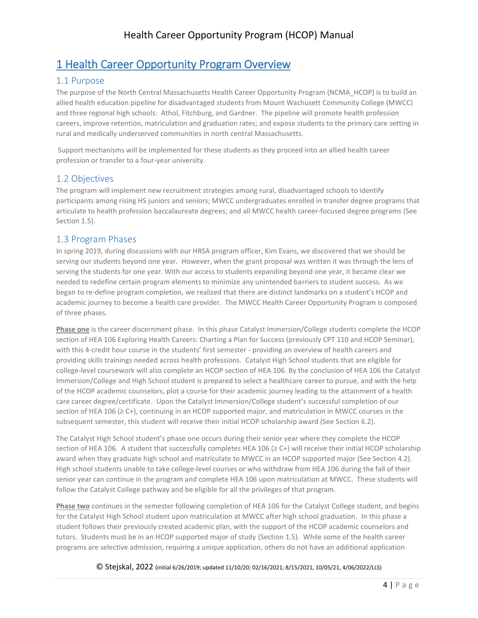# 1 Health Career Opportunity Program Overview

## 1.1 Purpose

The purpose of the North Central Massachusetts Health Career Opportunity Program (NCMA\_HCOP) is to build an allied health education pipeline for disadvantaged students from Mount Wachusett Community College (MWCC) and three regional high schools: Athol, Fitchburg, and Gardner. The pipeline will promote health profession careers, improve retention, matriculation and graduation rates; and expose students to the primary care setting in rural and medically underserved communities in north central Massachusetts.

Support mechanisms will be implemented for these students as they proceed into an allied health career profession or transfer to a four-year university.

### 1.2 Objectives

The program will implement new recruitment strategies among rural, disadvantaged schools to identify participants among rising HS juniors and seniors; MWCC undergraduates enrolled in transfer degree programs that articulate to health profession baccalaureate degrees; and all MWCC health career-focused degree programs (See Section 1.5).

### 1.3 Program Phases

In spring 2019, during discussions with our HRSA program officer, Kim Evans, we discovered that we should be serving our students beyond one year. However, when the grant proposal was written it was through the lens of serving the students for one year. With our access to students expanding beyond one year, it became clear we needed to redefine certain program elements to minimize any unintended barriers to student success. As we began to re-define program completion, we realized that there are distinct landmarks on a student's HCOP and academic journey to become a health care provider. The MWCC Health Career Opportunity Program is composed of three phases.

**Phase one** is the career discernment phase. In this phase Catalyst Immersion/College students complete the HCOP section of HEA 106 Exploring Health Careers: Charting a Plan for Success (previously CPT 110 and HCOP Seminar), with this 4-credit hour course in the students' first semester - providing an overview of health careers and providing skills trainings needed across health professions. Catalyst High School students that are eligible for college-level coursework will also complete an HCOP section of HEA 106. By the conclusion of HEA 106 the Catalyst Immersion/College and High School student is prepared to select a healthcare career to pursue, and with the help of the HCOP academic counselors, plot a course for their academic journey leading to the attainment of a health care career degree/certificate. Upon the Catalyst Immersion/College student's successful completion of our section of HEA 106 (≥ C+), continuing in an HCOP supported major, and matriculation in MWCC courses in the subsequent semester, this student will receive their initial HCOP scholarship award (See Section 6.2).

The Catalyst High School student's phase one occurs during their senior year where they complete the HCOP section of HEA 106. A student that successfully completes HEA 106 ( $\geq$  C+) will receive their initial HCOP scholarship award when they graduate high school and matriculate to MWCC in an HCOP supported major (See Section 4.2). High school students unable to take college-level courses or who withdraw from HEA 106 during the fall of their senior year can continue in the program and complete HEA 106 upon matriculation at MWCC. These students will follow the Catalyst College pathway and be eligible for all the privileges of that program.

**Phase two** continues in the semester following completion of HEA 106 for the Catalyst College student, and begins for the Catalyst High School student upon matriculation at MWCC after high school graduation. In this phase a student follows their previously created academic plan, with the support of the HCOP academic counselors and tutors. Students must be in an HCOP supported major of study (Section 1.5). While some of the health career programs are selective admission, requiring a unique application, others do not have an additional application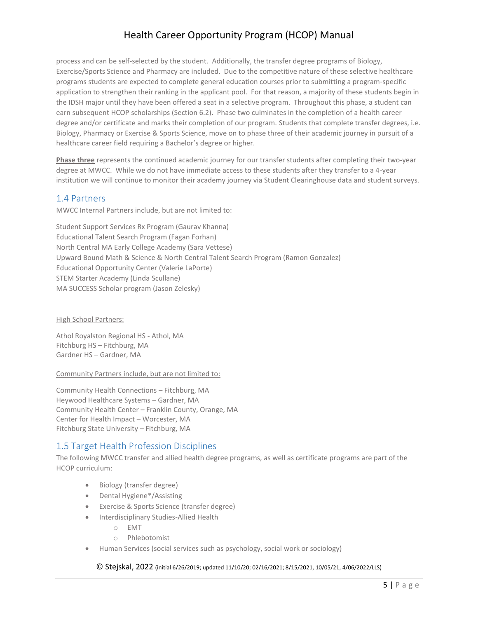process and can be self-selected by the student. Additionally, the transfer degree programs of Biology, Exercise/Sports Science and Pharmacy are included. Due to the competitive nature of these selective healthcare programs students are expected to complete general education courses prior to submitting a program-specific application to strengthen their ranking in the applicant pool. For that reason, a majority of these students begin in the IDSH major until they have been offered a seat in a selective program. Throughout this phase, a student can earn subsequent HCOP scholarships (Section 6.2). Phase two culminates in the completion of a health career degree and/or certificate and marks their completion of our program. Students that complete transfer degrees, i.e. Biology, Pharmacy or Exercise & Sports Science, move on to phase three of their academic journey in pursuit of a healthcare career field requiring a Bachelor's degree or higher.

**Phase three** represents the continued academic journey for our transfer students after completing their two-year degree at MWCC. While we do not have immediate access to these students after they transfer to a 4-year institution we will continue to monitor their academy journey via Student Clearinghouse data and student surveys.

#### 1.4 Partners

MWCC Internal Partners include, but are not limited to:

Student Support Services Rx Program (Gaurav Khanna) Educational Talent Search Program (Fagan Forhan) North Central MA Early College Academy (Sara Vettese) Upward Bound Math & Science & North Central Talent Search Program (Ramon Gonzalez) Educational Opportunity Center (Valerie LaPorte) STEM Starter Academy (Linda Scullane) MA SUCCESS Scholar program (Jason Zelesky)

#### High School Partners:

Athol Royalston Regional HS - Athol, MA Fitchburg HS – Fitchburg, MA Gardner HS – Gardner, MA

#### Community Partners include, but are not limited to:

Community Health Connections – Fitchburg, MA Heywood Healthcare Systems – Gardner, MA Community Health Center – Franklin County, Orange, MA Center for Health Impact – Worcester, MA Fitchburg State University – Fitchburg, MA

### 1.5 Target Health Profession Disciplines

The following MWCC transfer and allied health degree programs, as well as certificate programs are part of the HCOP curriculum:

- Biology (transfer degree)
- Dental Hygiene\*/Assisting
- Exercise & Sports Science (transfer degree)
- **•** Interdisciplinary Studies-Allied Health
	- o EMT
	- o Phlebotomist
- Human Services (social services such as psychology, social work or sociology)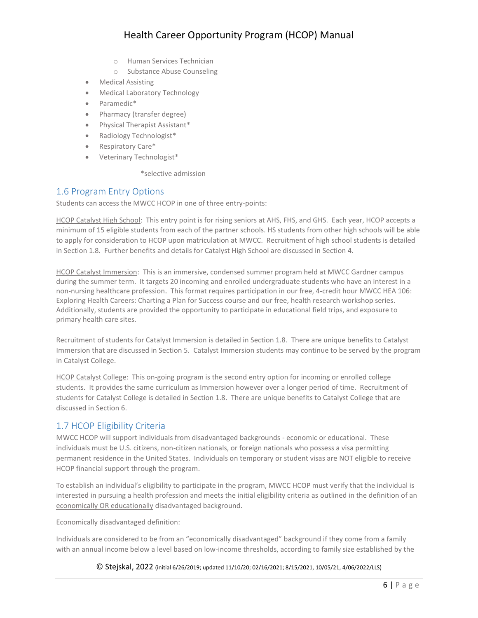- o Human Services Technician
- o Substance Abuse Counseling
- **•** Medical Assisting
- Medical Laboratory Technology
- Paramedic\*
- Pharmacy (transfer degree)
- Physical Therapist Assistant\*
- Radiology Technologist\*
- Respiratory Care\*
- Veterinary Technologist\*

\*selective admission

#### 1.6 Program Entry Options

Students can access the MWCC HCOP in one of three entry-points:

HCOP Catalyst High School: This entry point is for rising seniors at AHS, FHS, and GHS. Each year, HCOP accepts a minimum of 15 eligible students from each of the partner schools. HS students from other high schools will be able to apply for consideration to HCOP upon matriculation at MWCC. Recruitment of high school students is detailed in Section 1.8. Further benefits and details for Catalyst High School are discussed in Section 4.

HCOP Catalyst Immersion: This is an immersive, condensed summer program held at MWCC Gardner campus during the summer term. It targets 20 incoming and enrolled undergraduate students who have an interest in a non-nursing healthcare profession. This format requires participation in our free, 4-credit hour MWCC HEA 106: Exploring Health Careers: Charting a Plan for Success course and our free, health research workshop series. Additionally, students are provided the opportunity to participate in educational field trips, and exposure to primary health care sites.

Recruitment of students for Catalyst Immersion is detailed in Section 1.8. There are unique benefits to Catalyst Immersion that are discussed in Section 5. Catalyst Immersion students may continue to be served by the program in Catalyst College.

HCOP Catalyst College: This on-going program is the second entry option for incoming or enrolled college students. It provides the same curriculum as Immersion however over a longer period of time. Recruitment of students for Catalyst College is detailed in Section 1.8. There are unique benefits to Catalyst College that are discussed in Section 6.

#### 1.7 HCOP Eligibility Criteria

MWCC HCOP will support individuals from disadvantaged backgrounds - economic or educational. These individuals must be U.S. citizens, non-citizen nationals, or foreign nationals who possess a visa permitting permanent residence in the United States. Individuals on temporary or student visas are NOT eligible to receive HCOP financial support through the program.

To establish an individual's eligibility to participate in the program, MWCC HCOP must verify that the individual is interested in pursuing a health profession and meets the initial eligibility criteria as outlined in the definition of an economically OR educationally disadvantaged background.

Economically disadvantaged definition:

Individuals are considered to be from an "economically disadvantaged" background if they come from a family with an annual income below a level based on low-income thresholds, according to family size established by the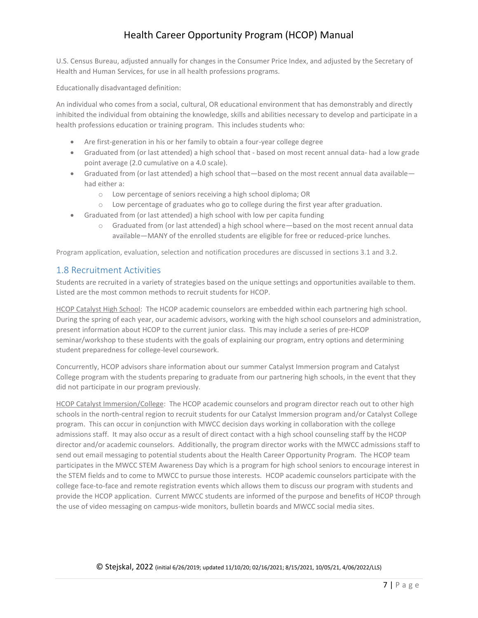U.S. Census Bureau, adjusted annually for changes in the Consumer Price Index, and adjusted by the Secretary of Health and Human Services, for use in all health professions programs.

Educationally disadvantaged definition:

An individual who comes from a social, cultural, OR educational environment that has demonstrably and directly inhibited the individual from obtaining the knowledge, skills and abilities necessary to develop and participate in a health professions education or training program. This includes students who:

- Are first-generation in his or her family to obtain a four-year college degree
- Graduated from (or last attended) a high school that based on most recent annual data- had a low grade point average (2.0 cumulative on a 4.0 scale).
- Graduated from (or last attended) a high school that—based on the most recent annual data available had either a:
	- o Low percentage of seniors receiving a high school diploma; OR
	- o Low percentage of graduates who go to college during the first year after graduation.
- Graduated from (or last attended) a high school with low per capita funding
	- o Graduated from (or last attended) a high school where—based on the most recent annual data available—MANY of the enrolled students are eligible for free or reduced-price lunches.

Program application, evaluation, selection and notification procedures are discussed in sections 3.1 and 3.2.

#### 1.8 Recruitment Activities

Students are recruited in a variety of strategies based on the unique settings and opportunities available to them. Listed are the most common methods to recruit students for HCOP.

HCOP Catalyst High School: The HCOP academic counselors are embedded within each partnering high school. During the spring of each year, our academic advisors, working with the high school counselors and administration, present information about HCOP to the current junior class. This may include a series of pre-HCOP seminar/workshop to these students with the goals of explaining our program, entry options and determining student preparedness for college-level coursework.

Concurrently, HCOP advisors share information about our summer Catalyst Immersion program and Catalyst College program with the students preparing to graduate from our partnering high schools, in the event that they did not participate in our program previously.

HCOP Catalyst Immersion/College: The HCOP academic counselors and program director reach out to other high schools in the north-central region to recruit students for our Catalyst Immersion program and/or Catalyst College program. This can occur in conjunction with MWCC decision days working in collaboration with the college admissions staff. It may also occur as a result of direct contact with a high school counseling staff by the HCOP director and/or academic counselors. Additionally, the program director works with the MWCC admissions staff to send out email messaging to potential students about the Health Career Opportunity Program. The HCOP team participates in the MWCC STEM Awareness Day which is a program for high school seniors to encourage interest in the STEM fields and to come to MWCC to pursue those interests. HCOP academic counselors participate with the college face-to-face and remote registration events which allows them to discuss our program with students and provide the HCOP application. Current MWCC students are informed of the purpose and benefits of HCOP through the use of video messaging on campus-wide monitors, bulletin boards and MWCC social media sites.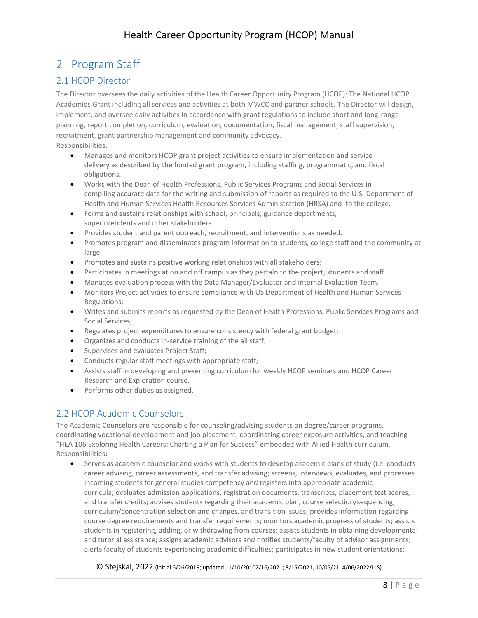# 2 Program Staff

# 2.1 HCOP Director

The Director oversees the daily activities of the Health Career Opportunity Program (HCOP): The National HCOP Academies Grant including all services and activities at both MWCC and partner schools. The Director will design, implement, and oversee daily activities in accordance with grant regulations to include short and long-range planning, report completion, curriculum, evaluation, documentation, fiscal management, staff supervision, recruitment, grant partnership management and community advocacy.

Responsibilities:

- Manages and monitors HCOP grant project activities to ensure implementation and service delivery as described by the funded grant program, including staffing, programmatic, and fiscal obligations.
- Works with the Dean of Health Professions, Public Services Programs and Social Services in compiling accurate data for the writing and submission of reports as required to the U.S. Department of Health and Human Services Health Resources Services Administration (HRSA) and to the college.
- Forms and sustains relationships with school, principals, guidance departments, superintendents and other stakeholders.
- Provides student and parent outreach, recruitment, and interventions as needed.
- Promotes program and disseminates program information to students, college staff and the community at large.
- Promotes and sustains positive working relationships with all stakeholders;
- Participates in meetings at on and off campus as they pertain to the project, students and staff.
- Manages evaluation process with the Data Manager/Evaluator and internal Evaluation Team.
- Monitors Project activities to ensure compliance with US Department of Health and Human Services Regulations;
- Writes and submits reports as requested by the Dean of Health Professions, Public Services Programs and Social Services;
- Regulates project expenditures to ensure consistency with federal grant budget;
- Organizes and conducts in-service training of the all staff;
- **Supervises and evaluates Project Staff;**
- Conducts regular staff meetings with appropriate staff;
- Assists staff in developing and presenting curriculum for weekly HCOP seminars and HCOP Career Research and Exploration course.
- Performs other duties as assigned.

### 2.2 HCOP Academic Counselors

The Academic Counselors are responsible for counseling/advising students on degree/career programs, coordinating vocational development and job placement; coordinating career exposure activities, and teaching "HEA 106 Exploring Health Careers: Charting a Plan for Success" embedded with Allied Health curriculum. Responsibilities:

 Serves as academic counselor and works with students to develop academic plans of study (i.e. conducts career advising, career assessments, and transfer advising; screens, interviews, evaluates, and processes incoming students for general studies competency and registers into appropriate academic curricula; evaluates admission applications, registration documents, transcripts, placement test scores, and transfer credits; advises students regarding their academic plan, course selection/sequencing, curriculum/concentration selection and changes, and transition issues; provides information regarding course degree requirements and transfer requirements; monitors academic progress of students; assists students in registering, adding, or withdrawing from courses; assists students in obtaining developmental and tutorial assistance; assigns academic advisors and notifies students/faculty of advisor assignments; alerts faculty of students experiencing academic difficulties; participates in new student orientations;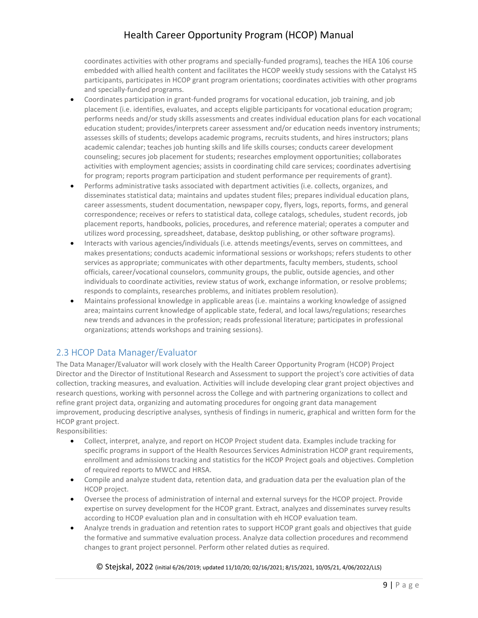coordinates activities with other programs and specially-funded programs), teaches the HEA 106 course embedded with allied health content and facilitates the HCOP weekly study sessions with the Catalyst HS participants, participates in HCOP grant program orientations; coordinates activities with other programs and specially-funded programs.

- Coordinates participation in grant-funded programs for vocational education, job training, and job placement (i.e. identifies, evaluates, and accepts eligible participants for vocational education program; performs needs and/or study skills assessments and creates individual education plans for each vocational education student; provides/interprets career assessment and/or education needs inventory instruments; assesses skills of students; develops academic programs, recruits students, and hires instructors; plans academic calendar; teaches job hunting skills and life skills courses; conducts career development counseling; secures job placement for students; researches employment opportunities; collaborates activities with employment agencies; assists in coordinating child care services; coordinates advertising for program; reports program participation and student performance per requirements of grant).
- Performs administrative tasks associated with department activities (i.e. collects, organizes, and disseminates statistical data; maintains and updates student files; prepares individual education plans, career assessments, student documentation, newspaper copy, flyers, logs, reports, forms, and general correspondence; receives or refers to statistical data, college catalogs, schedules, student records, job placement reports, handbooks, policies, procedures, and reference material; operates a computer and utilizes word processing, spreadsheet, database, desktop publishing, or other software programs).
- Interacts with various agencies/individuals (i.e. attends meetings/events, serves on committees, and makes presentations; conducts academic informational sessions or workshops; refers students to other services as appropriate; communicates with other departments, faculty members, students, school officials, career/vocational counselors, community groups, the public, outside agencies, and other individuals to coordinate activities, review status of work, exchange information, or resolve problems; responds to complaints, researches problems, and initiates problem resolution).
- Maintains professional knowledge in applicable areas (i.e. maintains a working knowledge of assigned area; maintains current knowledge of applicable state, federal, and local laws/regulations; researches new trends and advances in the profession; reads professional literature; participates in professional organizations; attends workshops and training sessions).

### 2.3 HCOP Data Manager/Evaluator

The Data Manager/Evaluator will work closely with the Health Career Opportunity Program (HCOP) Project Director and the Director of Institutional Research and Assessment to support the project's core activities of data collection, tracking measures, and evaluation. Activities will include developing clear grant project objectives and research questions, working with personnel across the College and with partnering organizations to collect and refine grant project data, organizing and automating procedures for ongoing grant data management improvement, producing descriptive analyses, synthesis of findings in numeric, graphical and written form for the HCOP grant project.

Responsibilities:

- Collect, interpret, analyze, and report on HCOP Project student data. Examples include tracking for specific programs in support of the Health Resources Services Administration HCOP grant requirements, enrollment and admissions tracking and statistics for the HCOP Project goals and objectives. Completion of required reports to MWCC and HRSA.
- Compile and analyze student data, retention data, and graduation data per the evaluation plan of the HCOP project.
- Oversee the process of administration of internal and external surveys for the HCOP project. Provide expertise on survey development for the HCOP grant. Extract, analyzes and disseminates survey results according to HCOP evaluation plan and in consultation with eh HCOP evaluation team.
- Analyze trends in graduation and retention rates to support HCOP grant goals and objectives that guide the formative and summative evaluation process. Analyze data collection procedures and recommend changes to grant project personnel. Perform other related duties as required.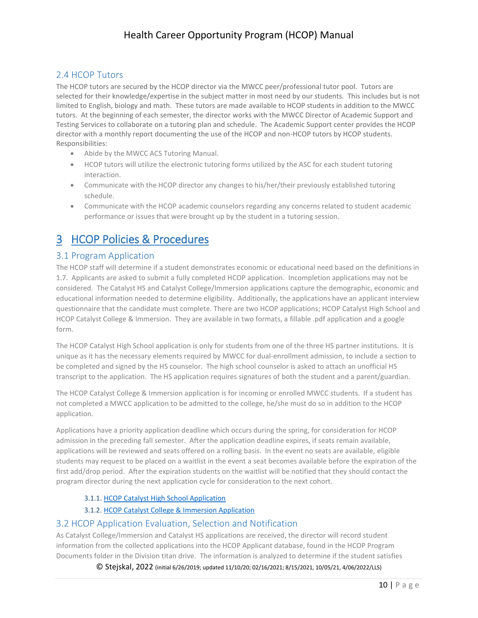### 2.4 HCOP Tutors

The HCOP tutors are secured by the HCOP director via the MWCC peer/professional tutor pool. Tutors are selected for their knowledge/expertise in the subject matter in most need by our students. This includes but is not limited to English, biology and math. These tutors are made available to HCOP students in addition to the MWCC tutors. At the beginning of each semester, the director works with the MWCC Director of Academic Support and Testing Services to collaborate on a tutoring plan and schedule. The Academic Support center provides the HCOP director with a monthly report documenting the use of the HCOP and non-HCOP tutors by HCOP students. Responsibilities:

- Abide by the MWCC ACS Tutoring Manual.
- HCOP tutors will utilize the electronic tutoring forms utilized by the ASC for each student tutoring interaction.
- Communicate with the HCOP director any changes to his/her/their previously established tutoring schedule.
- Communicate with the HCOP academic counselors regarding any concerns related to student academic performance or issues that were brought up by the student in a tutoring session.

# 3 HCOP Policies & Procedures

### 3.1 Program Application

The HCOP staff will determine if a student demonstrates economic or educational need based on the definitions in 1.7. Applicants are asked to submit a fully completed HCOP application. Incompletion applications may not be considered. The Catalyst HS and Catalyst College/Immersion applications capture the demographic, economic and educational information needed to determine eligibility. Additionally, the applications have an applicant interview questionnaire that the candidate must complete. There are two HCOP applications; HCOP Catalyst High School and HCOP Catalyst College & Immersion. They are available in two formats, a fillable .pdf application and a google form.

The HCOP Catalyst High School application is only for students from one of the three HS partner institutions. It is unique as it has the necessary elements required by MWCC for dual-enrollment admission, to include a section to be completed and signed by the HS counselor. The high school counselor is asked to attach an unofficial HS transcript to the application. The HS application requires signatures of both the student and a parent/guardian.

The HCOP Catalyst College & Immersion application is for incoming or enrolled MWCC students. If a student has not completed a MWCC application to be admitted to the college, he/she must do so in addition to the HCOP application.

Applications have a priority application deadline which occurs during the spring, for consideration for HCOP admission in the preceding fall semester. After the application deadline expires, if seats remain available, applications will be reviewed and seats offered on a rolling basis. In the event no seats are available, eligible students may request to be placed on a waitlist in the event a seat becomes available before the expiration of the first add/drop period. After the expiration students on the waitlist will be notified that they should contact the program director during the next application cycle for consideration to the next cohort.

#### 3.1.1. [HCOP Catalyst High School Application](https://mwcc.edu/wp-content/uploads/2020/04/AP004-09_HCOP-Catalyst-High-School-Dual-Enrollment-2020-Fillable-Form.pdf)

#### 3.1.2. [HCOP Catalyst College & Immersion Application](https://mwcc.edu/wp-content/uploads/2020/05/AP008-09_HCOP-Catalyst-College-Immersion-2020-Fillable-Form.pdf)

#### 3.2 HCOP Application Evaluation, Selection and Notification

As Catalyst College/Immersion and Catalyst HS applications are received, the director will record student information from the collected applications into the HCOP Applicant database, found in the HCOP Program Documents folder in the Division titan drive. The information is analyzed to determine if the student satisfies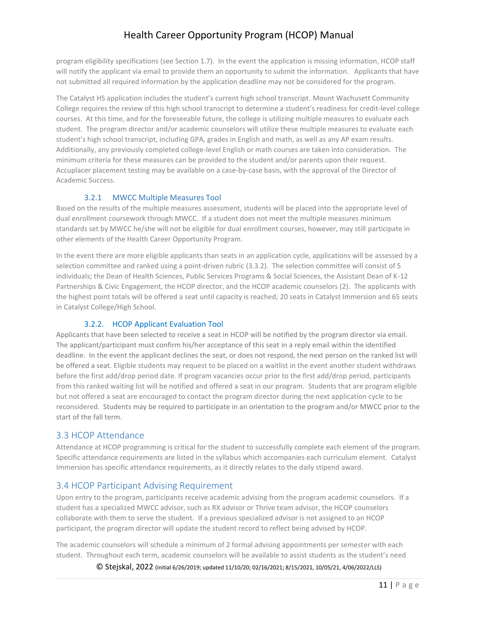program eligibility specifications (see Section 1.7). In the event the application is missing information, HCOP staff will notify the applicant via email to provide them an opportunity to submit the information. Applicants that have not submitted all required information by the application deadline may not be considered for the program.

The Catalyst HS application includes the student's current high school transcript. Mount Wachusett Community College requires the review of this high school transcript to determine a student's readiness for credit-level college courses. At this time, and for the foreseeable future, the college is utilizing multiple measures to evaluate each student. The program director and/or academic counselors will utilize these multiple measures to evaluate each student's high school transcript, including GPA, grades in English and math, as well as any AP exam results. Additionally, any previously completed college-level English or math courses are taken into consideration. The minimum criteria for these measures can be provided to the student and/or parents upon their request. Accuplacer placement testing may be available on a case-by-case basis, with the approval of the Director of Academic Success.

#### 3.2.1 MWCC Multiple Measures Tool

Based on the results of the multiple measures assessment, students will be placed into the appropriate level of dual enrollment coursework through MWCC. If a student does not meet the multiple measures minimum standards set by MWCC he/she will not be eligible for dual enrollment courses, however, may still participate in other elements of the Health Career Opportunity Program.

In the event there are more eligible applicants than seats in an application cycle, applications will be assessed by a selection committee and ranked using a point-driven rubric (3.3.2). The selection committee will consist of 5 individuals; the Dean of Health Sciences, Public Services Programs & Social Sciences, the Assistant Dean of K-12 Partnerships & Civic Engagement, the HCOP director, and the HCOP academic counselors (2). The applicants with the highest point totals will be offered a seat until capacity is reached; 20 seats in Catalyst Immersion and 65 seats in Catalyst College/High School.

#### 3.2.2. HCOP Applicant Evaluation Tool

Applicants that have been selected to receive a seat in HCOP will be notified by the program director via email. The applicant/participant must confirm his/her acceptance of this seat in a reply email within the identified deadline. In the event the applicant declines the seat, or does not respond, the next person on the ranked list will be offered a seat. Eligible students may request to be placed on a waitlist in the event another student withdraws before the first add/drop period date. If program vacancies occur prior to the first add/drop period, participants from this ranked waiting list will be notified and offered a seat in our program. Students that are program eligible but not offered a seat are encouraged to contact the program director during the next application cycle to be reconsidered. Students may be required to participate in an orientation to the program and/or MWCC prior to the start of the fall term.

#### 3.3 HCOP Attendance

Attendance at HCOP programming is critical for the student to successfully complete each element of the program. Specific attendance requirements are listed in the syllabus which accompanies each curriculum element. Catalyst Immersion has specific attendance requirements, as it directly relates to the daily stipend award.

### 3.4 HCOP Participant Advising Requirement

Upon entry to the program, participants receive academic advising from the program academic counselors. If a student has a specialized MWCC advisor, such as RX advisor or Thrive team advisor, the HCOP counselors collaborate with them to serve the student. If a previous specialized advisor is not assigned to an HCOP participant, the program director will update the student record to reflect being advised by HCOP.

The academic counselors will schedule a minimum of 2 formal advising appointments per semester with each student. Throughout each term, academic counselors will be available to assist students as the student's need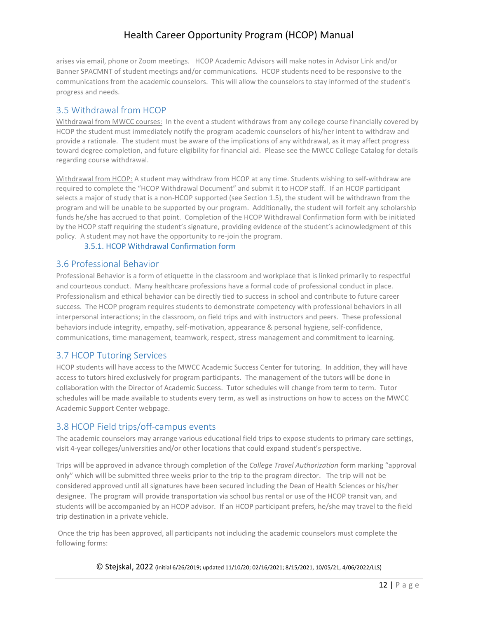arises via email, phone or Zoom meetings. HCOP Academic Advisors will make notes in Advisor Link and/or Banner SPACMNT of student meetings and/or communications. HCOP students need to be responsive to the communications from the academic counselors. This will allow the counselors to stay informed of the student's progress and needs.

### 3.5 Withdrawal from HCOP

Withdrawal from MWCC courses: In the event a student withdraws from any college course financially covered by HCOP the student must immediately notify the program academic counselors of his/her intent to withdraw and provide a rationale. The student must be aware of the implications of any withdrawal, as it may affect progress toward degree completion, and future eligibility for financial aid. Please see the MWCC College Catalog for details regarding course withdrawal.

Withdrawal from HCOP: A student may withdraw from HCOP at any time. Students wishing to self-withdraw are required to complete the "HCOP Withdrawal Document" and submit it to HCOP staff. If an HCOP participant selects a major of study that is a non-HCOP supported (see Section 1.5), the student will be withdrawn from the program and will be unable to be supported by our program. Additionally, the student will forfeit any scholarship funds he/she has accrued to that point. Completion of the HCOP Withdrawal Confirmation form with be initiated by the HCOP staff requiring the student's signature, providing evidence of the student's acknowledgment of this policy. A student may not have the opportunity to re-join the program.

#### 3.5.1. HCOP Withdrawal Confirmation form

#### 3.6 Professional Behavior

Professional Behavior is a form of etiquette in the classroom and workplace that is linked primarily to respectful and courteous conduct. Many healthcare professions have a formal code of professional conduct in place. Professionalism and ethical behavior can be directly tied to success in school and contribute to future career success. The HCOP program requires students to demonstrate competency with professional behaviors in all interpersonal interactions; in the classroom, on field trips and with instructors and peers. These professional behaviors include integrity, empathy, self-motivation, appearance & personal hygiene, self-confidence, communications, time management, teamwork, respect, stress management and commitment to learning.

#### 3.7 HCOP Tutoring Services

HCOP students will have access to the MWCC Academic Success Center for tutoring. In addition, they will have access to tutors hired exclusively for program participants. The management of the tutors will be done in collaboration with the Director of Academic Success. Tutor schedules will change from term to term. Tutor schedules will be made available to students every term, as well as instructions on how to access on the MWCC Academic Support Center webpage.

#### 3.8 HCOP Field trips/off-campus events

The academic counselors may arrange various educational field trips to expose students to primary care settings, visit 4-year colleges/universities and/or other locations that could expand student's perspective.

Trips will be approved in advance through completion of the *College Travel Authorization* form marking "approval only" which will be submitted three weeks prior to the trip to the program director. The trip will not be considered approved until all signatures have been secured including the Dean of Health Sciences or his/her designee. The program will provide transportation via school bus rental or use of the HCOP transit van, and students will be accompanied by an HCOP advisor. If an HCOP participant prefers, he/she may travel to the field trip destination in a private vehicle.

Once the trip has been approved, all participants not including the academic counselors must complete the following forms: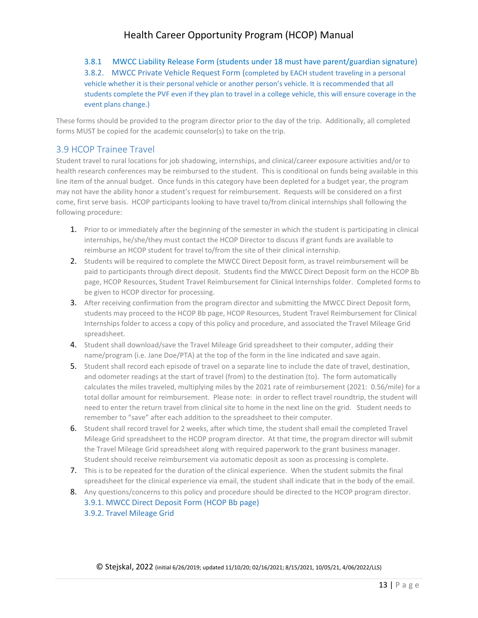### 3.8.1 MWCC Liability Release Form (students under 18 must have parent/guardian signature)

3.8.2. MWCC Private Vehicle Request Form (completed by EACH student traveling in a personal vehicle whether it is their personal vehicle or another person's vehicle. It is recommended that all students complete the PVF even if they plan to travel in a college vehicle, this will ensure coverage in the event plans change.)

These forms should be provided to the program director prior to the day of the trip. Additionally, all completed forms MUST be copied for the academic counselor(s) to take on the trip.

### 3.9 HCOP Trainee Travel

Student travel to rural locations for job shadowing, internships, and clinical/career exposure activities and/or to health research conferences may be reimbursed to the student. This is conditional on funds being available in this line item of the annual budget. Once funds in this category have been depleted for a budget year, the program may not have the ability honor a student's request for reimbursement. Requests will be considered on a first come, first serve basis. HCOP participants looking to have travel to/from clinical internships shall following the following procedure:

- 1. Prior to or immediately after the beginning of the semester in which the student is participating in clinical internships, he/she/they must contact the HCOP Director to discuss if grant funds are available to reimburse an HCOP student for travel to/from the site of their clinical internship.
- 2. Students will be required to complete the MWCC Direct Deposit form, as travel reimbursement will be paid to participants through direct deposit. Students find the MWCC Direct Deposit form on the HCOP Bb page, HCOP Resources, Student Travel Reimbursement for Clinical Internships folder. Completed forms to be given to HCOP director for processing.
- 3. After receiving confirmation from the program director and submitting the MWCC Direct Deposit form, students may proceed to the HCOP Bb page, HCOP Resources, Student Travel Reimbursement for Clinical Internships folder to access a copy of this policy and procedure, and associated the Travel Mileage Grid spreadsheet.
- 4. Student shall download/save the Travel Mileage Grid spreadsheet to their computer, adding their name/program (i.e. Jane Doe/PTA) at the top of the form in the line indicated and save again.
- 5. Student shall record each episode of travel on a separate line to include the date of travel, destination, and odometer readings at the start of travel (from) to the destination (to). The form automatically calculates the miles traveled, multiplying miles by the 2021 rate of reimbursement (2021: 0.56/mile) for a total dollar amount for reimbursement. Please note: in order to reflect travel roundtrip, the student will need to enter the return travel from clinical site to home in the next line on the grid. Student needs to remember to "save" after each addition to the spreadsheet to their computer.
- 6. Student shall record travel for 2 weeks, after which time, the student shall email the completed Travel Mileage Grid spreadsheet to the HCOP program director. At that time, the program director will submit the Travel Mileage Grid spreadsheet along with required paperwork to the grant business manager. Student should receive reimbursement via automatic deposit as soon as processing is complete.
- 7. This is to be repeated for the duration of the clinical experience. When the student submits the final spreadsheet for the clinical experience via email, the student shall indicate that in the body of the email.
- 8. Any questions/concerns to this policy and procedure should be directed to the HCOP program director. 3.9.1. MWCC Direct Deposit Form (HCOP Bb page) 3.9.2. Travel Mileage Grid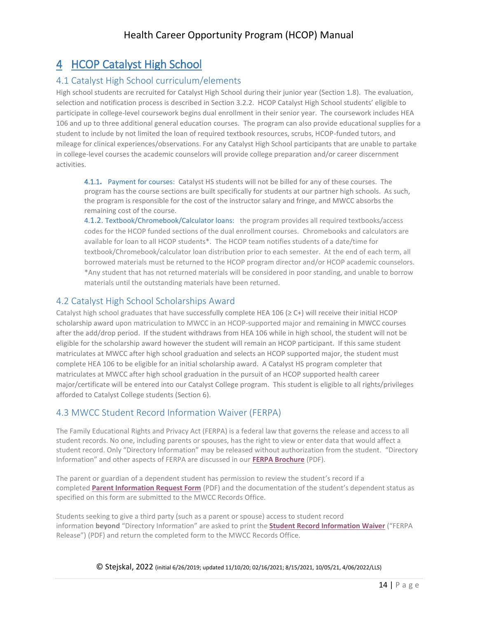# 4 HCOP Catalyst High School

# 4.1 Catalyst High School curriculum/elements

High school students are recruited for Catalyst High School during their junior year (Section 1.8). The evaluation, selection and notification process is described in Section 3.2.2. HCOP Catalyst High School students' eligible to participate in college-level coursework begins dual enrollment in their senior year. The coursework includes HEA 106 and up to three additional general education courses. The program can also provide educational supplies for a student to include by not limited the loan of required textbook resources, scrubs, HCOP-funded tutors, and mileage for clinical experiences/observations. For any Catalyst High School participants that are unable to partake in college-level courses the academic counselors will provide college preparation and/or career discernment activities.

4.1.1**.** Payment for courses: Catalyst HS students will not be billed for any of these courses. The program has the course sections are built specifically for students at our partner high schools. As such, the program is responsible for the cost of the instructor salary and fringe, and MWCC absorbs the remaining cost of the course.

4.1.2. Textbook/Chromebook/Calculator loans: the program provides all required textbooks/access codes for the HCOP funded sections of the dual enrollment courses. Chromebooks and calculators are available for loan to all HCOP students\*. The HCOP team notifies students of a date/time for textbook/Chromebook/calculator loan distribution prior to each semester. At the end of each term, all borrowed materials must be returned to the HCOP program director and/or HCOP academic counselors. \*Any student that has not returned materials will be considered in poor standing, and unable to borrow materials until the outstanding materials have been returned.

### 4.2 Catalyst High School Scholarships Award

Catalyst high school graduates that have successfully complete HEA 106 ( $\geq$  C+) will receive their initial HCOP scholarship award upon matriculation to MWCC in an HCOP-supported major and remaining in MWCC courses after the add/drop period. If the student withdraws from HEA 106 while in high school, the student will not be eligible for the scholarship award however the student will remain an HCOP participant. If this same student matriculates at MWCC after high school graduation and selects an HCOP supported major, the student must complete HEA 106 to be eligible for an initial scholarship award. A Catalyst HS program completer that matriculates at MWCC after high school graduation in the pursuit of an HCOP supported health career major/certificate will be entered into our Catalyst College program. This student is eligible to all rights/privileges afforded to Catalyst College students (Section 6).

### 4.3 MWCC Student Record Information Waiver (FERPA)

The Family Educational Rights and Privacy Act (FERPA) is a federal law that governs the release and access to all student records. No one, including parents or spouses, has the right to view or enter data that would affect a student record. Only "Directory Information" may be released without authorization from the student. "Directory Information" and other aspects of FERPA are discussed in our **[FERPA Brochure](https://mwccmass-my.sharepoint.com/personal/lstejskal_mwcc_mass_edu/Documents/HCOP%20(22570)/Program%20Manual_%20Policy_Procedures/FERPA-Web-2020_2021_v1.pdf)** (PDF).

The parent or guardian of a dependent student has permission to review the student's record if a completed **[Parent Information Request Form](https://mwccmass-my.sharepoint.com/personal/lstejskal_mwcc_mass_edu/Documents/HCOP%20(22570)/Program%20Manual_%20Policy_Procedures/ParentInfoRequest.pdf)** (PDF) and the documentation of the student's dependent status as specified on this form are submitted to the MWCC Records Office.

Students seeking to give a third party (such as a parent or spouse) access to student record information **beyond** "Directory Information" are asked to print the **[Student Record Information Waiver](https://mwccmass-my.sharepoint.com/personal/lstejskal_mwcc_mass_edu/Documents/HCOP%20(22570)/Program%20Manual_%20Policy_Procedures/StudentRecordInfoWaiver.pdf)** ("FERPA Release") (PDF) and return the completed form to the MWCC Records Office.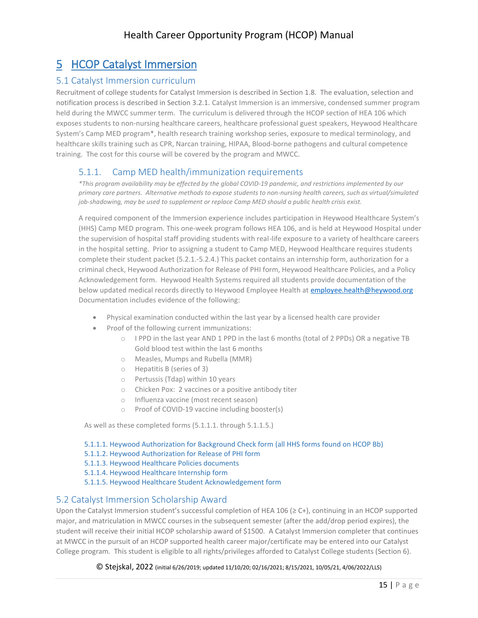# 5 HCOP Catalyst Immersion

### 5.1 Catalyst Immersion curriculum

Recruitment of college students for Catalyst Immersion is described in Section 1.8. The evaluation, selection and notification process is described in Section 3.2.1. Catalyst Immersion is an immersive, condensed summer program held during the MWCC summer term. The curriculum is delivered through the HCOP section of HEA 106 which exposes students to non-nursing healthcare careers, healthcare professional guest speakers, Heywood Healthcare System's Camp MED program\*, health research training workshop series, exposure to medical terminology, and healthcare skills training such as CPR, Narcan training, HIPAA, Blood-borne pathogens and cultural competence training. The cost for this course will be covered by the program and MWCC.

### 5.1.1. Camp MED health/immunization requirements

*\*This program availability may be effected by the global COVID-19 pandemic, and restrictions implemented by our primary care partners. Alternative methods to expose students to non-nursing health careers, such as virtual/simulated job-shadowing, may be used to supplement or replace Camp MED should a public health crisis exist.* 

A required component of the Immersion experience includes participation in Heywood Healthcare System's (HHS) Camp MED program. This one-week program follows HEA 106, and is held at Heywood Hospital under the supervision of hospital staff providing students with real-life exposure to a variety of healthcare careers in the hospital setting. Prior to assigning a student to Camp MED, Heywood Healthcare requires students complete their student packet (5.2.1.-5.2.4.) This packet contains an internship form, authorization for a criminal check, Heywood Authorization for Release of PHI form, Heywood Healthcare Policies, and a Policy Acknowledgement form. Heywood Health Systems required all students provide documentation of the below updated medical records directly to Heywood Employee Health at [employee.health@heywood.org](mailto:employee.health@heywood.org) Documentation includes evidence of the following:

- Physical examination conducted within the last year by a licensed health care provider
- Proof of the following current immunizations:
	- $\circ$  I PPD in the last year AND 1 PPD in the last 6 months (total of 2 PPDs) OR a negative TB Gold blood test within the last 6 months
	- o Measles, Mumps and Rubella (MMR)
	- o Hepatitis B (series of 3)
	- o Pertussis (Tdap) within 10 years
	- o Chicken Pox: 2 vaccines or a positive antibody titer
	- o Influenza vaccine (most recent season)
	- o Proof of COVID-19 vaccine including booster(s)

As well as these completed forms (5.1.1.1. through 5.1.1.5.)

#### 5.1.1.1. Heywood Authorization for Background Check form (all HHS forms found on HCOP Bb)

- 5.1.1.2. Heywood Authorization for Release of PHI form
- 5.1.1.3. Heywood Healthcare Policies documents
- 5.1.1.4. Heywood Healthcare Internship form
- 5.1.1.5. Heywood Healthcare Student Acknowledgement form

#### 5.2 Catalyst Immersion Scholarship Award

Upon the Catalyst Immersion student's successful completion of HEA 106 (≥ C+), continuing in an HCOP supported major, and matriculation in MWCC courses in the subsequent semester (after the add/drop period expires), the student will receive their initial HCOP scholarship award of \$1500. A Catalyst Immersion completer that continues at MWCC in the pursuit of an HCOP supported health career major/certificate may be entered into our Catalyst College program. This student is eligible to all rights/privileges afforded to Catalyst College students (Section 6).